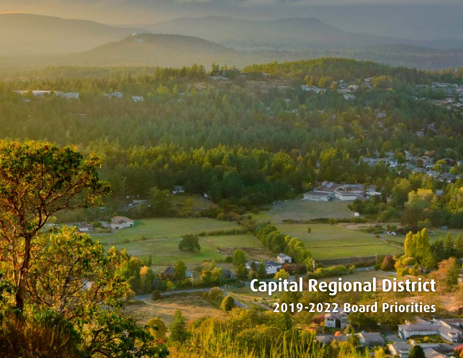## **Capital Regional District 2019-2022 Board Priorities**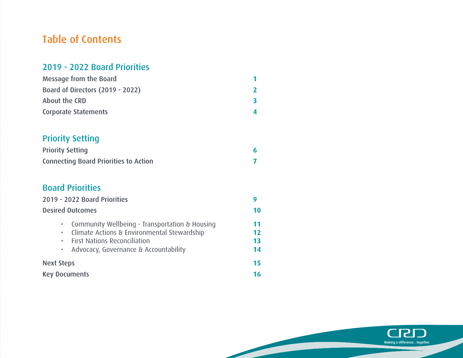## Table of Contents

#### 2019 - 2022 Board Priorities

| Message from the Board           |  |
|----------------------------------|--|
| Board of Directors (2019 - 2022) |  |
| About the CRD                    |  |
| <b>Corporate Statements</b>      |  |

## Priority Setting

| <b>Priority Setting</b>                      |  |
|----------------------------------------------|--|
| <b>Connecting Board Priorities to Action</b> |  |

#### Board Priorities

| 2019 - 2022 Board Priorities                                                                                                                                                   |                      |
|--------------------------------------------------------------------------------------------------------------------------------------------------------------------------------|----------------------|
| <b>Desired Outcomes</b>                                                                                                                                                        |                      |
| • Community Wellbeing - Transportation & Housing<br>· Climate Actions & Environmental Stewardship<br>• First Nations Reconciliation<br>• Advocacy, Governance & Accountability | 11<br>12<br>13<br>14 |
| <b>Next Steps</b>                                                                                                                                                              |                      |
| <b>Key Documents</b>                                                                                                                                                           |                      |



Т.,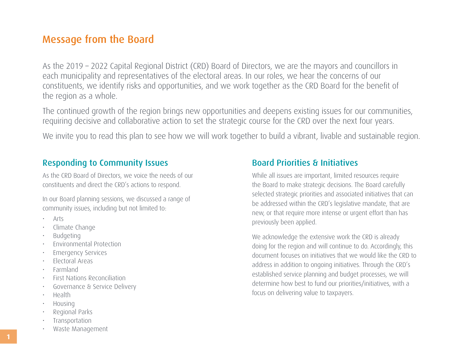## <span id="page-2-0"></span>Message from the Board

As the 2019 – 2022 Capital Regional District (CRD) Board of Directors, we are the mayors and councillors in each municipality and representatives of the electoral areas. In our roles, we hear the concerns of our constituents, we identify risks and opportunities, and we work together as the CRD Board for the benefit of the region as a whole.

The continued growth of the region brings new opportunities and deepens existing issues for our communities, requiring decisive and collaborative action to set the strategic course for the CRD over the next four years.

We invite you to read this plan to see how we will work together to build a vibrant, livable and sustainable region.

#### Responding to Community Issues

As the CRD Board of Directors, we voice the needs of our constituents and direct the CRD's actions to respond.

In our Board planning sessions, we discussed a range of community issues, including but not limited to:

- Arts
- Climate Change
- Budgeting
- Environmental Protection
- **Emergency Services**
- Electoral Areas
- Farmland
- First Nations Reconciliation
- Governance & Service Delivery
- Health
- Housing
- Regional Parks
- **Transportation**
- Waste Management

#### Board Priorities & Initiatives

While all issues are important, limited resources require the Board to make strategic decisions. The Board carefully selected strategic priorities and associated initiatives that can be addressed within the CRD's legislative mandate, that are new, or that require more intense or urgent effort than has previously been applied.

We acknowledge the extensive work the CRD is already doing for the region and will continue to do. Accordingly, this document focuses on initiatives that we would like the CRD to address in addition to ongoing initiatives. Through the CRD's established service planning and budget processes, we will determine how best to fund our priorities/initiatives, with a focus on delivering value to taxpayers.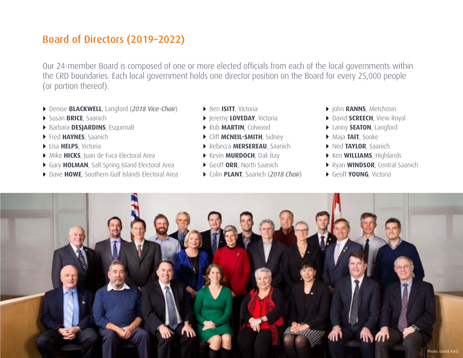## <span id="page-3-0"></span>Board of Directors (2019–2022)

Our 24-member Board is composed of one or more elected officials from each of the local governments within the CRD boundaries. Each local government holds one director position on the Board for every 25,000 people (or portion thereof).

- Denise **BLACKWELL**, Langford (*2018 Vice-Chair*)
- Susan **BRICE**, Saanich
- Barbara **DESJARDINS**, Esquimalt
- Fred **HAYNES**, Saanich
- Lisa **HELPS**, Victoria
- Mike **HICKS**, Juan de Fuca Electoral Area
- Gary **HOLMAN**, Salt Spring Island Electoral Area
- ▶ Dave HOWE, Southern Gulf Islands Electoral Area
- Ben **ISITT**, Victoria
- **Figure 1 Ave DAY, Victoria**
- Rob **MARTIN**, Colwood
- **F** Cliff **MCNEIL-SMITH**, Sidney
- Rebecca **MERSEREAU**, Saanich
- **Kevin MURDOCH**, Oak Bay
- Geoff **ORR**, North Saanich
- Colin **PLANT**, Saanich (*2018 Chair*)
- $\rightarrow$  John **RANNS**, Metchosin
- ▶ David **SCREECH**, View Royal
- Lanny **SEATON**, Langford
- Maja **TAIT**, Sooke
- Ned **TAYLOR**, Saanich
- **Ken WILLIAMS**, Highlands
- Ryan **WINDSOR**, Central Saanich
- Geoff **YOUNG**, Victoria

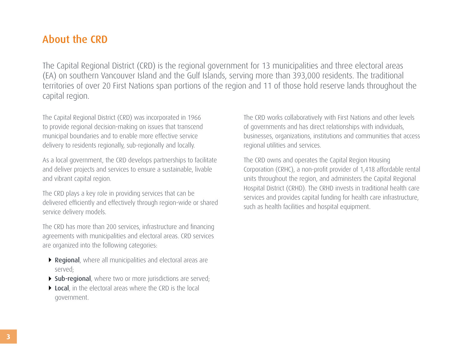## <span id="page-4-0"></span>About the CRD

The Capital Regional District (CRD) is the regional government for 13 municipalities and three electoral areas (EA) on southern Vancouver Island and the Gulf Islands, serving more than 393,000 residents. The traditional territories of over 20 First Nations span portions of the region and 11 of those hold reserve lands throughout the capital region.

The Capital Regional District (CRD) was incorporated in 1966 to provide regional decision-making on issues that transcend municipal boundaries and to enable more effective service delivery to residents regionally, sub-regionally and locally.

As a local government, the CRD develops partnerships to facilitate and deliver projects and services to ensure a sustainable, livable and vibrant capital region.

The CRD plays a key role in providing services that can be delivered efficiently and effectively through region-wide or shared service delivery models.

The CRD has more than 200 services, infrastructure and financing agreements with municipalities and electoral areas. CRD services are organized into the following categories:

- ▶ Regional, where all municipalities and electoral areas are served;
- Sub-regional, where two or more jurisdictions are served;
- ▶ Local, in the electoral areas where the CRD is the local government.

The CRD works collaboratively with First Nations and other levels of governments and has direct relationships with individuals, businesses, organizations, institutions and communities that access regional utilities and services.

The CRD owns and operates the Capital Region Housing Corporation (CRHC), a non-profit provider of 1,418 affordable rental units throughout the region, and administers the Capital Regional Hospital District (CRHD). The CRHD invests in traditional health care services and provides capital funding for health care infrastructure, such as health facilities and hospital equipment.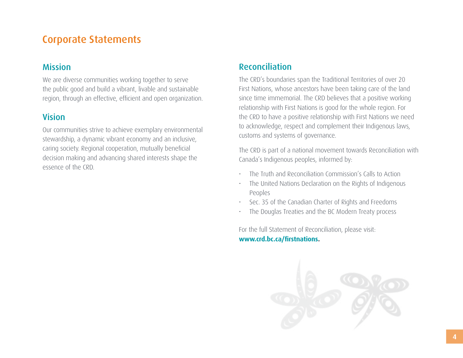## <span id="page-5-0"></span>Corporate Statements

#### Mission

We are diverse communities working together to serve the public good and build a vibrant, livable and sustainable region, through an effective, efficient and open organization.

#### Vision

Our communities strive to achieve exemplary environmental stewardship, a dynamic vibrant economy and an inclusive, caring society. Regional cooperation, mutually beneficial decision making and advancing shared interests shape the essence of the CRD.

#### Reconciliation

The CRD's boundaries span the Traditional Territories of over 20 First Nations, whose ancestors have been taking care of the land since time immemorial. The CRD believes that a positive working relationship with First Nations is good for the whole region. For the CRD to have a positive relationship with First Nations we need to acknowledge, respect and complement their Indigenous laws, customs and systems of governance.

The CRD is part of a national movement towards Reconciliation with Canada's Indigenous peoples, informed by:

- The Truth and Reconciliation Commission's Calls to Action
- The United Nations Declaration on the Rights of Indigenous Peoples
- Sec. 35 of the Canadian Charter of Rights and Freedoms
- The Douglas Treaties and the BC Modern Treaty process

For the full Statement of Reconciliation, please visit: **<www.crd.bc.ca/firstnations>.**

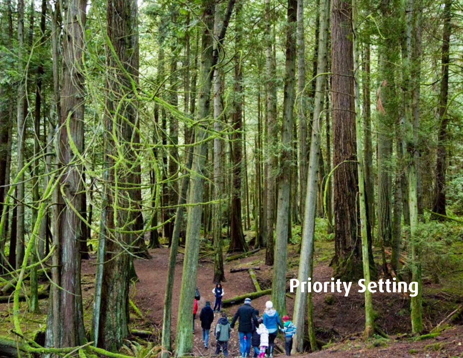# **Priority Setting**

**5**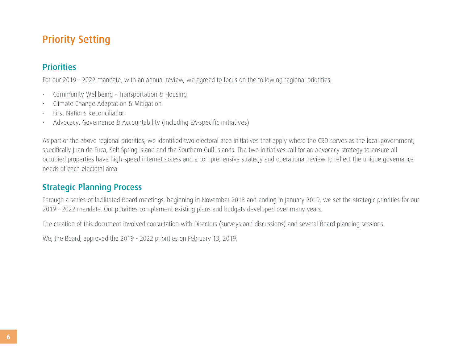## <span id="page-7-0"></span>Priority Setting

#### **Priorities**

For our 2019 - 2022 mandate, with an annual review, we agreed to focus on the following regional priorities:

- Community Wellbeing Transportation & Housing
- Climate Change Adaptation & Mitigation
- First Nations Reconciliation
- Advocacy, Governance & Accountability (including EA-specific initiatives)

As part of the above regional priorities, we identified two electoral area initiatives that apply where the CRD serves as the local government, specifically Juan de Fuca, Salt Spring Island and the Southern Gulf Islands. The two initiatives call for an advocacy strategy to ensure all occupied properties have high-speed internet access and a comprehensive strategy and operational review to reflect the unique governance needs of each electoral area.

## Strategic Planning Process

Through a series of facilitated Board meetings, beginning in November 2018 and ending in January 2019, we set the strategic priorities for our 2019 - 2022 mandate. Our priorities complement existing plans and budgets developed over many years.

The creation of this document involved consultation with Directors (surveys and discussions) and several Board planning sessions.

We, the Board, approved the 2019 - 2022 priorities on February 13, 2019.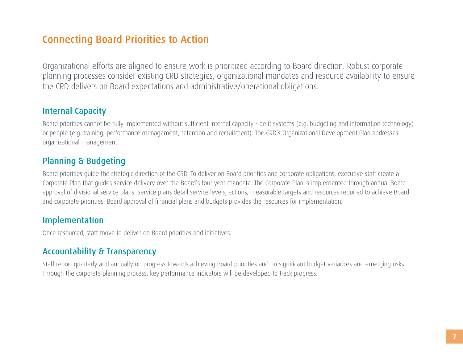## <span id="page-8-0"></span>Connecting Board Priorities to Action

Organizational efforts are aligned to ensure work is prioritized according to Board direction. Robust corporate planning processes consider existing CRD strategies, organizational mandates and resource availability to ensure the CRD delivers on Board expectations and administrative/operational obligations.

#### Internal Capacity

Board priorities cannot be fully implemented without sufficient internal capacity - be it systems (e.g. budgeting and information technology) or people (e.g. training, performance management, retention and recruitment). The CRD's Organizational Development Plan addresses organizational management.

#### Planning & Budgeting

Board priorities guide the strategic direction of the CRD. To deliver on Board priorities and corporate obligations, executive staff create a Corporate Plan that guides service delivery over the Board's four-year mandate. The Corporate Plan is implemented through annual Board approval of divisional service plans. Service plans detail service levels, actions, measurable targets and resources required to achieve Board and corporate priorities. Board approval of financial plans and budgets provides the resources for implementation.

#### Implementation

Once resourced, staff move to deliver on Board priorities and initiatives.

#### Accountability & Transparency

Staff report quarterly and annually on progress towards achieving Board priorities and on significant budget variances and emerging risks. Through the corporate planning process, key performance indicators will be developed to track progress.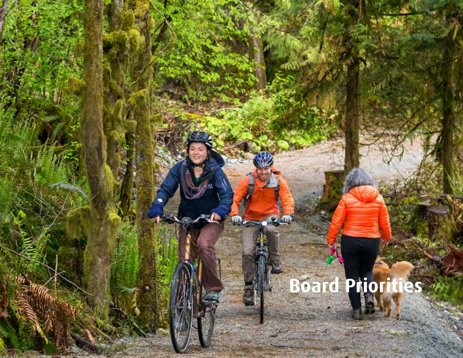## **Board Priorities**

шÞ

ile

**8**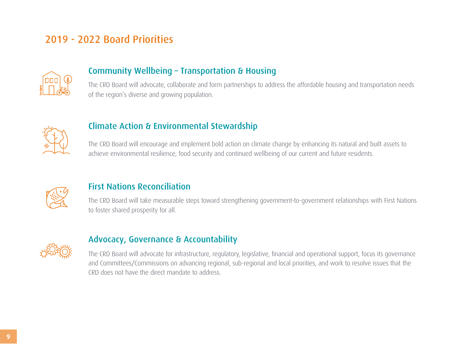## <span id="page-10-0"></span>2019 - 2022 Board Priorities



#### Community Wellbeing – Transportation & Housing

The CRD Board will advocate, collaborate and form partnerships to address the affordable housing and transportation needs of the region's diverse and growing population.



#### Climate Action & Environmental Stewardship

The CRD Board will encourage and implement bold action on climate change by enhancing its natural and built assets to achieve environmental resilience, food security and continued wellbeing of our current and future residents.



#### First Nations Reconciliation

The CRD Board will take measurable steps toward strengthening government-to-government relationships with First Nations to foster shared prosperity for all.



#### Advocacy, Governance & Accountability

The CRD Board will advocate for infrastructure, regulatory, legislative, financial and operational support, focus its governance and Committees/Commissions on advancing regional, sub-regional and local priorities, and work to resolve issues that the CRD does not have the direct mandate to address.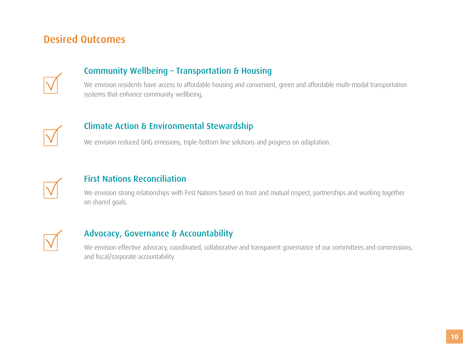## <span id="page-11-0"></span>Desired Outcomes



#### Community Wellbeing – Transportation & Housing

We envision residents have access to affordable housing and convenient, green and affordable multi-modal transportation systems that enhance community wellbeing.



#### Climate Action & Environmental Stewardship

We envision reduced GHG emissions, triple-bottom line solutions and progress on adaptation.



#### First Nations Reconciliation

We envision strong relationships with First Nations based on trust and mutual respect, partnerships and working together on shared goals.



#### Advocacy, Governance & Accountability

We envision effective advocacy, coordinated, collaborative and transparent governance of our committees and commissions, and fiscal/corporate accountability. **<sup>e</sup>**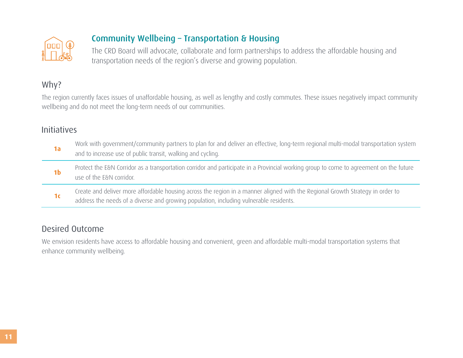<span id="page-12-0"></span>

## Community Wellbeing – Transportation & Housing

The CRD Board will advocate, collaborate and form partnerships to address the affordable housing and transportation needs of the region's diverse and growing population.

## Why?

The region currently faces issues of unaffordable housing, as well as lengthy and costly commutes. These issues negatively impact community wellbeing and do not meet the long-term needs of our communities.

#### Initiatives

| 1a             | Work with government/community partners to plan for and deliver an effective, long-term regional multi-modal transportation system<br>and to increase use of public transit, walking and cycling.                        |
|----------------|--------------------------------------------------------------------------------------------------------------------------------------------------------------------------------------------------------------------------|
| 1 <sub>b</sub> | Protect the E&N Corridor as a transportation corridor and participate in a Provincial working group to come to agreement on the future<br>use of the E&N corridor.                                                       |
| 1 <sub>c</sub> | Create and deliver more affordable housing across the region in a manner aligned with the Regional Growth Strategy in order to<br>address the needs of a diverse and growing population, including vulnerable residents. |

#### Desired Outcome

We envision residents have access to affordable housing and convenient, green and affordable multi-modal transportation systems that enhance community wellbeing.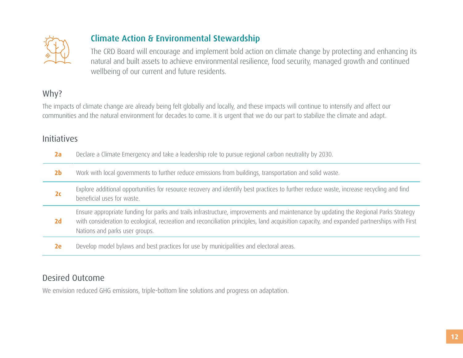<span id="page-13-0"></span>

## Climate Action & Environmental Stewardship

The CRD Board will encourage and implement bold action on climate change by protecting and enhancing its natural and built assets to achieve environmental resilience, food security, managed growth and continued wellbeing of our current and future residents.

#### Why?

The impacts of climate change are already being felt globally and locally, and these impacts will continue to intensify and affect our communities and the natural environment for decades to come. It is urgent that we do our part to stabilize the climate and adapt.

#### Initiatives

- **2a** Declare a Climate Emergency and take a leadership role to pursue regional carbon neutrality by 2030.
- **2b** Work with local governments to further reduce emissions from buildings, transportation and solid waste.
- **2c** Explore additional opportunities for resource recovery and identify best practices to further reduce waste, increase recycling and find beneficial uses for waste.
- **2d** Ensure appropriate funding for parks and trails infrastructure, improvements and maintenance by updating the Regional Parks Strategy with consideration to ecological, recreation and reconciliation principles, land acquisition capacity, and expanded partnerships with First Nations and parks user groups.
- **2e** Develop model bylaws and best practices for use by municipalities and electoral areas.

#### Desired Outcome

We envision reduced GHG emissions, triple-bottom line solutions and progress on adaptation.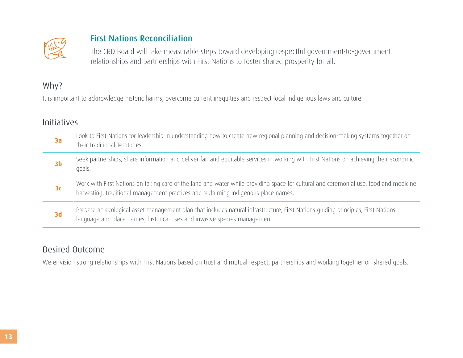<span id="page-14-0"></span>

#### First Nations Reconciliation

The CRD Board will take measurable steps toward developing respectful government-to-government relationships and partnerships with First Nations to foster shared prosperity for all.

#### Why?

It is important to acknowledge historic harms, overcome current inequities and respect local indigenous laws and culture.

#### **Initiatives**

| 3a             | Look to First Nations for leadership in understanding how to create new regional planning and decision-making systems together on<br>their Traditional Territories.                                                          |
|----------------|------------------------------------------------------------------------------------------------------------------------------------------------------------------------------------------------------------------------------|
| 3 <sub>b</sub> | Seek partnerships, share information and deliver fair and equitable services in working with First Nations on achieving their economic<br>goals.                                                                             |
| 3 <sub>c</sub> | Work with First Nations on taking care of the land and water while providing space for cultural and ceremonial use, food and medicine<br>harvesting, traditional management practices and reclaiming Indigenous place names. |
| 3d             | Prepare an ecological asset management plan that includes natural infrastructure, First Nations quiding principles, First Nations<br>language and place names, historical uses and invasive species management.              |

#### Desired Outcome

We envision strong relationships with First Nations based on trust and mutual respect, partnerships and working together on shared goals.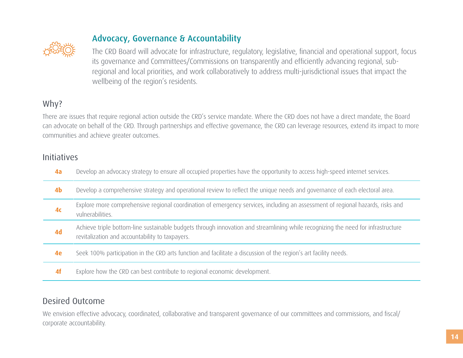<span id="page-15-0"></span>

#### Advocacy, Governance & Accountability

The CRD Board will advocate for infrastructure, regulatory, legislative, financial and operational support, focus its governance and Committees/Commissions on transparently and efficiently advancing regional, subregional and local priorities, and work collaboratively to address multi-jurisdictional issues that impact the wellbeing of the region's residents.

#### Why?

There are issues that require regional action outside the CRD's service mandate. Where the CRD does not have a direct mandate, the Board can advocate on behalf of the CRD. Through partnerships and effective governance, the CRD can leverage resources, extend its impact to more communities and achieve greater outcomes.

#### Initiatives

| 4a             | Develop an advocacy strategy to ensure all occupied properties have the opportunity to access high-speed internet services.                                                         |
|----------------|-------------------------------------------------------------------------------------------------------------------------------------------------------------------------------------|
| 4 <sub>b</sub> | Develop a comprehensive strategy and operational review to reflect the unique needs and governance of each electoral area.                                                          |
| 4 <sub>c</sub> | Explore more comprehensive regional coordination of emergency services, including an assessment of regional hazards, risks and<br>vulnerabilities.                                  |
| 4d             | Achieve triple bottom-line sustainable budgets through innovation and streamlining while recognizing the need for infrastructure<br>revitalization and accountability to taxpayers. |
| 4e             | Seek 100% participation in the CRD arts function and facilitate a discussion of the region's art facility needs.                                                                    |
| 4f             | Explore how the CRD can best contribute to regional economic development.                                                                                                           |

Desired Outcome

We envision effective advocacy, coordinated, collaborative and transparent governance of our committees and commissions, and fiscal/ corporate accountability.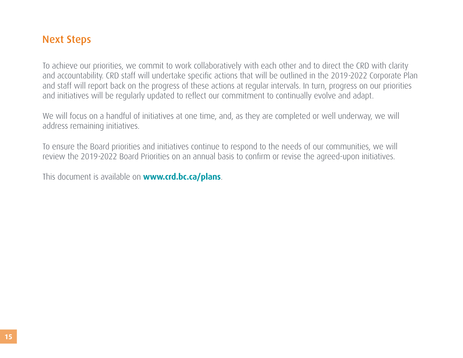## <span id="page-16-0"></span>Next Steps

To achieve our priorities, we commit to work collaboratively with each other and to direct the CRD with clarity and accountability. CRD staff will undertake specific actions that will be outlined in the 2019-2022 Corporate Plan and staff will report back on the progress of these actions at regular intervals. In turn, progress on our priorities and initiatives will be regularly updated to reflect our commitment to continually evolve and adapt.

We will focus on a handful of initiatives at one time, and, as they are completed or well underway, we will address remaining initiatives.

To ensure the Board priorities and initiatives continue to respond to the needs of our communities, we will review the 2019-2022 Board Priorities on an annual basis to confirm or revise the agreed-upon initiatives.

This document is available on **www.crd.bc.ca/plans**.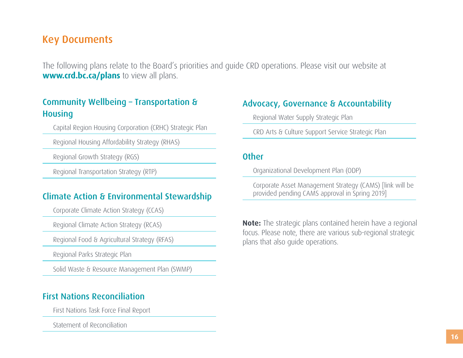## <span id="page-17-0"></span>Key Documents

The following plans relate to the Board's priorities and guide CRD operations. Please visit our website at **<www.crd.bc.ca/plans>** to view all plans.

#### Community Wellbeing – Transportation & **Housing**

Capital Region Housing Corporation (CRHC) Strategic Plan

Regional Housing Affordability Strategy (RHAS)

Regional Growth Strategy (RGS)

Regional Transportation Strategy (RTP)

#### Climate Action & Environmental Stewardship

Corporate Climate Action Strategy (CCAS)

Regional Climate Action Strategy (RCAS)

Regional Food & Agricultural Strategy (RFAS)

Regional Parks Strategic Plan

Solid Waste & Resource Management Plan (SWMP)

#### First Nations Reconciliation

First Nations Task Force Final Report

Statement of Reconciliation

#### Advocacy, Governance & Accountability

Regional Water Supply Strategic Plan

CRD Arts & Culture Support Service Strategic Plan

#### **Other**

Organizational Development Plan (ODP)

Corporate Asset Management Strategy (CAMS) [link will be provided pending CAMS approval in Spring 2019]

**Note:** The strategic plans contained herein have a regional focus. Please note, there are various sub-regional strategic plans that also guide operations.